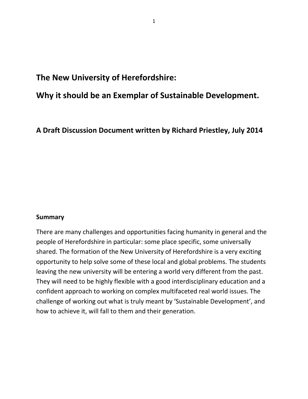**The New University of Herefordshire:** 

# **Why it should be an Exemplar of Sustainable Development.**

**A Draft Discussion Document written by Richard Priestley, July 2014**

#### **Summary**

There are many challenges and opportunities facing humanity in general and the people of Herefordshire in particular: some place specific, some universally shared. The formation of the New University of Herefordshire is a very exciting opportunity to help solve some of these local and global problems. The students leaving the new university will be entering a world very different from the past. They will need to be highly flexible with a good interdisciplinary education and a confident approach to working on complex multifaceted real world issues. The challenge of working out what is truly meant by 'Sustainable Development', and how to achieve it, will fall to them and their generation.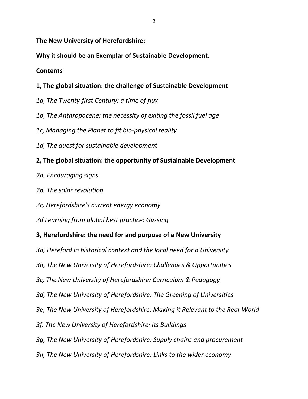**The New University of Herefordshire:** 

**Why it should be an Exemplar of Sustainable Development.**

# **Contents**

- **1, The global situation: the challenge of Sustainable Development**
- *1a, The Twenty-first Century: a time of flux*
- *1b, The Anthropocene: the necessity of exiting the fossil fuel age*
- *1c, Managing the Planet to fit bio-physical reality*
- *1d, The quest for sustainable development*

# **2, The global situation: the opportunity of Sustainable Development**

- *2a, Encouraging signs*
- *2b, The solar revolution*
- *2c, Herefordshire's current energy economy*
- *2d Learning from global best practice: Güssing*
- **3, Herefordshire: the need for and purpose of a New University**
- *3a, Hereford in historical context and the local need for a University*
- *3b, The New University of Herefordshire: Challenges & Opportunities*
- *3c, The New University of Herefordshire: Curriculum & Pedagogy*
- *3d, The New University of Herefordshire: The Greening of Universities*
- *3e, The New University of Herefordshire: Making it Relevant to the Real-World*
- *3f, The New University of Herefordshire: Its Buildings*
- *3g, The New University of Herefordshire: Supply chains and procurement*
- *3h, The New University of Herefordshire: Links to the wider economy*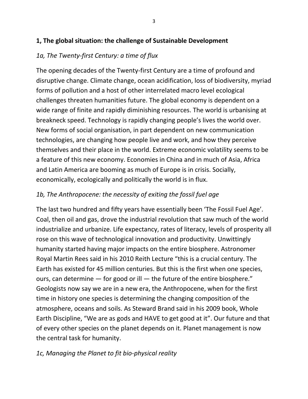### **1, The global situation: the challenge of Sustainable Development**

# *1a, The Twenty-first Century: a time of flux*

The opening decades of the Twenty-first Century are a time of profound and disruptive change. Climate change, ocean acidification, loss of biodiversity, myriad forms of pollution and a host of other interrelated macro level ecological challenges threaten humanities future. The global economy is dependent on a wide range of finite and rapidly diminishing resources. The world is urbanising at breakneck speed. Technology is rapidly changing people's lives the world over. New forms of social organisation, in part dependent on new communication technologies, are changing how people live and work, and how they perceive themselves and their place in the world. Extreme economic volatility seems to be a feature of this new economy. Economies in China and in much of Asia, Africa and Latin America are booming as much of Europe is in crisis. Socially, economically, ecologically and politically the world is in flux.

# *1b, The Anthropocene: the necessity of exiting the fossil fuel age*

The last two hundred and fifty years have essentially been 'The Fossil Fuel Age'. Coal, then oil and gas, drove the industrial revolution that saw much of the world industrialize and urbanize. Life expectancy, rates of literacy, levels of prosperity all rose on this wave of technological innovation and productivity. Unwittingly humanity started having major impacts on the entire biosphere. Astronomer Royal Martin Rees said in his 2010 Reith Lecture "this is a crucial century. The Earth has existed for 45 million centuries. But this is the first when one species, ours, can determine — for good or ill — the future of the entire biosphere." Geologists now say we are in a new era, the Anthropocene, when for the first time in history one species is determining the changing composition of the atmosphere, oceans and soils. As Steward Brand said in his 2009 book, Whole Earth Discipline, "We are as gods and HAVE to get good at it". Our future and that of every other species on the planet depends on it. Planet management is now the central task for humanity.

## *1c, Managing the Planet to fit bio-physical reality*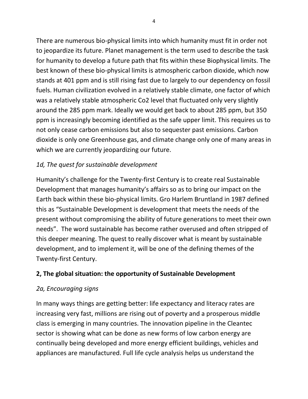There are numerous bio-physical limits into which humanity must fit in order not to jeopardize its future. Planet management is the term used to describe the task for humanity to develop a future path that fits within these Biophysical limits. The best known of these bio-physical limits is atmospheric carbon dioxide, which now stands at 401 ppm and is still rising fast due to largely to our dependency on fossil fuels. Human civilization evolved in a relatively stable climate, one factor of which was a relatively stable atmospheric Co2 level that fluctuated only very slightly around the 285 ppm mark. Ideally we would get back to about 285 ppm, but 350 ppm is increasingly becoming identified as the safe upper limit. This requires us to not only cease carbon emissions but also to sequester past emissions. Carbon dioxide is only one Greenhouse gas, and climate change only one of many areas in which we are currently jeopardizing our future.

# *1d, The quest for sustainable development*

Humanity's challenge for the Twenty-first Century is to create real Sustainable Development that manages humanity's affairs so as to bring our impact on the Earth back within these bio-physical limits. Gro Harlem Bruntland in 1987 defined this as "Sustainable Development is development that meets the needs of the present without compromising the ability of future generations to meet their own needs". The word sustainable has become rather overused and often stripped of this deeper meaning. The quest to really discover what is meant by sustainable development, and to implement it, will be one of the defining themes of the Twenty-first Century.

## **2, The global situation: the opportunity of Sustainable Development**

## *2a, Encouraging signs*

In many ways things are getting better: life expectancy and literacy rates are increasing very fast, millions are rising out of poverty and a prosperous middle class is emerging in many countries. The innovation pipeline in the Cleantec sector is showing what can be done as new forms of low carbon energy are continually being developed and more energy efficient buildings, vehicles and appliances are manufactured. Full life cycle analysis helps us understand the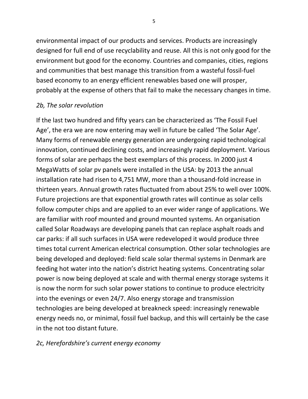environmental impact of our products and services. Products are increasingly designed for full end of use recyclability and reuse. All this is not only good for the environment but good for the economy. Countries and companies, cities, regions and communities that best manage this transition from a wasteful fossil-fuel based economy to an energy efficient renewables based one will prosper, probably at the expense of others that fail to make the necessary changes in time.

#### *2b, The solar revolution*

If the last two hundred and fifty years can be characterized as 'The Fossil Fuel Age', the era we are now entering may well in future be called 'The Solar Age'. Many forms of renewable energy generation are undergoing rapid technological innovation, continued declining costs, and increasingly rapid deployment. Various forms of solar are perhaps the best exemplars of this process. In 2000 just 4 MegaWatts of solar pv panels were installed in the USA: by 2013 the annual installation rate had risen to 4,751 MW, more than a thousand-fold increase in thirteen years. Annual growth rates fluctuated from about 25% to well over 100%. Future projections are that exponential growth rates will continue as solar cells follow computer chips and are applied to an ever wider range of applications. We are familiar with roof mounted and ground mounted systems. An organisation called Solar Roadways are developing panels that can replace asphalt roads and car parks: if all such surfaces in USA were redeveloped it would produce three times total current American electrical consumption. Other solar technologies are being developed and deployed: field scale solar thermal systems in Denmark are feeding hot water into the nation's district heating systems. Concentrating solar power is now being deployed at scale and with thermal energy storage systems it is now the norm for such solar power stations to continue to produce electricity into the evenings or even 24/7. Also energy storage and transmission technologies are being developed at breakneck speed: increasingly renewable energy needs no, or minimal, fossil fuel backup, and this will certainly be the case in the not too distant future.

#### *2c, Herefordshire's current energy economy*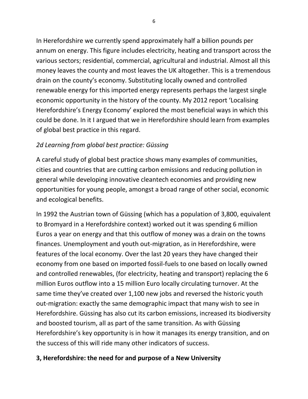In Herefordshire we currently spend approximately half a billion pounds per annum on energy. This figure includes electricity, heating and transport across the various sectors; residential, commercial, agricultural and industrial. Almost all this money leaves the county and most leaves the UK altogether. This is a tremendous drain on the county's economy. Substituting locally owned and controlled renewable energy for this imported energy represents perhaps the largest single economic opportunity in the history of the county. My 2012 report 'Localising Herefordshire's Energy Economy' explored the most beneficial ways in which this could be done. In it I argued that we in Herefordshire should learn from examples of global best practice in this regard.

# *2d Learning from global best practice: Güssing*

A careful study of global best practice shows many examples of communities, cities and countries that are cutting carbon emissions and reducing pollution in general while developing innovative cleantech economies and providing new opportunities for young people, amongst a broad range of other social, economic and ecological benefits.

In 1992 the Austrian town of Güssing (which has a population of 3,800, equivalent to Bromyard in a Herefordshire context) worked out it was spending 6 million Euros a year on energy and that this outflow of money was a drain on the towns finances. Unemployment and youth out-migration, as in Herefordshire, were features of the local economy. Over the last 20 years they have changed their economy from one based on imported fossil-fuels to one based on locally owned and controlled renewables, (for electricity, heating and transport) replacing the 6 million Euros outflow into a 15 million Euro locally circulating turnover. At the same time they've created over 1,100 new jobs and reversed the historic youth out-migration: exactly the same demographic impact that many wish to see in Herefordshire. Güssing has also cut its carbon emissions, increased its biodiversity and boosted tourism, all as part of the same transition. As with Güssing Herefordshire's key opportunity is in how it manages its energy transition, and on the success of this will ride many other indicators of success.

## **3, Herefordshire: the need for and purpose of a New University**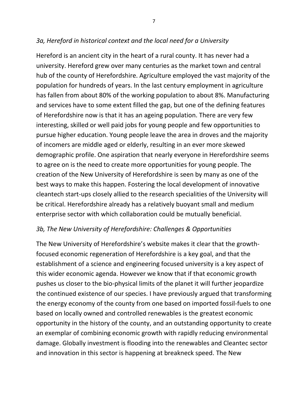### *3a, Hereford in historical context and the local need for a University*

Hereford is an ancient city in the heart of a rural county. It has never had a university. Hereford grew over many centuries as the market town and central hub of the county of Herefordshire. Agriculture employed the vast majority of the population for hundreds of years. In the last century employment in agriculture has fallen from about 80% of the working population to about 8%. Manufacturing and services have to some extent filled the gap, but one of the defining features of Herefordshire now is that it has an ageing population. There are very few interesting, skilled or well paid jobs for young people and few opportunities to pursue higher education. Young people leave the area in droves and the majority of incomers are middle aged or elderly, resulting in an ever more skewed demographic profile. One aspiration that nearly everyone in Herefordshire seems to agree on is the need to create more opportunities for young people. The creation of the New University of Herefordshire is seen by many as one of the best ways to make this happen. Fostering the local development of innovative cleantech start-ups closely allied to the research specialities of the University will be critical. Herefordshire already has a relatively buoyant small and medium enterprise sector with which collaboration could be mutually beneficial.

#### *3b, The New University of Herefordshire: Challenges & Opportunities*

The New University of Herefordshire's website makes it clear that the growthfocused economic regeneration of Herefordshire is a key goal, and that the establishment of a science and engineering focused university is a key aspect of this wider economic agenda. However we know that if that economic growth pushes us closer to the bio-physical limits of the planet it will further jeopardize the continued existence of our species. I have previously argued that transforming the energy economy of the county from one based on imported fossil-fuels to one based on locally owned and controlled renewables is the greatest economic opportunity in the history of the county, and an outstanding opportunity to create an exemplar of combining economic growth with rapidly reducing environmental damage. Globally investment is flooding into the renewables and Cleantec sector and innovation in this sector is happening at breakneck speed. The New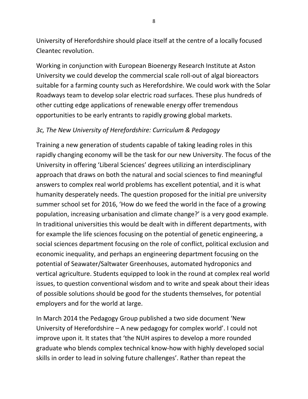University of Herefordshire should place itself at the centre of a locally focused Cleantec revolution.

Working in conjunction with European Bioenergy Research Institute at Aston University we could develop the commercial scale roll-out of algal bioreactors suitable for a farming county such as Herefordshire. We could work with the Solar Roadways team to develop solar electric road surfaces. These plus hundreds of other cutting edge applications of renewable energy offer tremendous opportunities to be early entrants to rapidly growing global markets.

# *3c, The New University of Herefordshire: Curriculum & Pedagogy*

Training a new generation of students capable of taking leading roles in this rapidly changing economy will be the task for our new University. The focus of the University in offering 'Liberal Sciences' degrees utilizing an interdisciplinary approach that draws on both the natural and social sciences to find meaningful answers to complex real world problems has excellent potential, and it is what humanity desperately needs. The question proposed for the initial pre university summer school set for 2016, 'How do we feed the world in the face of a growing population, increasing urbanisation and climate change?' is a very good example. In traditional universities this would be dealt with in different departments, with for example the life sciences focusing on the potential of genetic engineering, a social sciences department focusing on the role of conflict, political exclusion and economic inequality, and perhaps an engineering department focusing on the potential of Seawater/Saltwater Greenhouses, automated hydroponics and vertical agriculture. Students equipped to look in the round at complex real world issues, to question conventional wisdom and to write and speak about their ideas of possible solutions should be good for the students themselves, for potential employers and for the world at large.

In March 2014 the Pedagogy Group published a two side document 'New University of Herefordshire – A new pedagogy for complex world'. I could not improve upon it. It states that 'the NUH aspires to develop a more rounded graduate who blends complex technical know-how with highly developed social skills in order to lead in solving future challenges'. Rather than repeat the

8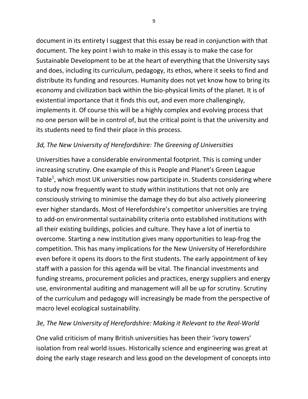document in its entirety I suggest that this essay be read in conjunction with that document. The key point I wish to make in this essay is to make the case for Sustainable Development to be at the heart of everything that the University says and does, including its curriculum, pedagogy, its ethos, where it seeks to find and distribute its funding and resources. Humanity does not yet know how to bring its economy and civilization back within the bio-physical limits of the planet. It is of existential importance that it finds this out, and even more challengingly, implements it. Of course this will be a highly complex and evolving process that no one person will be in control of, but the critical point is that the university and its students need to find their place in this process.

## *3d, The New University of Herefordshire: The Greening of Universities*

Universities have a considerable environmental footprint. This is coming under increasing scrutiny. One example of this is People and Planet's Green League Table<sup>1</sup>, which most UK universities now participate in. Students considering where to study now frequently want to study within institutions that not only are consciously striving to minimise the damage they do but also actively pioneering ever higher standards. Most of Herefordshire's competitor universities are trying to add-on environmental sustainability criteria onto established institutions with all their existing buildings, policies and culture. They have a lot of inertia to overcome. Starting a new institution gives many opportunities to leap-frog the competition. This has many implications for the New University of Herefordshire even before it opens its doors to the first students. The early appointment of key staff with a passion for this agenda will be vital. The financial investments and funding streams, procurement policies and practices, energy suppliers and energy use, environmental auditing and management will all be up for scrutiny. Scrutiny of the curriculum and pedagogy will increasingly be made from the perspective of macro level ecological sustainability.

#### *3e, The New University of Herefordshire: Making it Relevant to the Real-World*

One valid criticism of many British universities has been their 'ivory towers' isolation from real world issues. Historically science and engineering was great at doing the early stage research and less good on the development of concepts into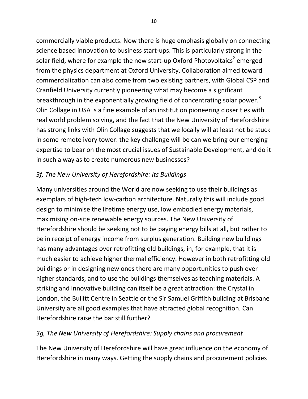commercially viable products. Now there is huge emphasis globally on connecting science based innovation to business start-ups. This is particularly strong in the solar field, where for example the new start-up Oxford Photovoltaics<sup>2</sup> emerged from the physics department at Oxford University. Collaboration aimed toward commercialization can also come from two existing partners, with Global CSP and Cranfield University currently pioneering what may become a significant breakthrough in the exponentially growing field of concentrating solar power.<sup>3</sup> Olin Collage in USA is a fine example of an institution pioneering closer ties with real world problem solving, and the fact that the New University of Herefordshire has strong links with Olin Collage suggests that we locally will at least not be stuck in some remote ivory tower: the key challenge will be can we bring our emerging expertise to bear on the most crucial issues of Sustainable Development, and do it in such a way as to create numerous new businesses?

### *3f, The New University of Herefordshire: Its Buildings*

Many universities around the World are now seeking to use their buildings as exemplars of high-tech low-carbon architecture. Naturally this will include good design to minimise the lifetime energy use, low embodied energy materials, maximising on-site renewable energy sources. The New University of Herefordshire should be seeking not to be paying energy bills at all, but rather to be in receipt of energy income from surplus generation. Building new buildings has many advantages over retrofitting old buildings, in, for example, that it is much easier to achieve higher thermal efficiency. However in both retrofitting old buildings or in designing new ones there are many opportunities to push ever higher standards, and to use the buildings themselves as teaching materials. A striking and innovative building can itself be a great attraction: the Crystal in London, the Bullitt Centre in Seattle or the Sir Samuel Griffith building at Brisbane University are all good examples that have attracted global recognition. Can Herefordshire raise the bar still further?

#### *3g, The New University of Herefordshire: Supply chains and procurement*

The New University of Herefordshire will have great influence on the economy of Herefordshire in many ways. Getting the supply chains and procurement policies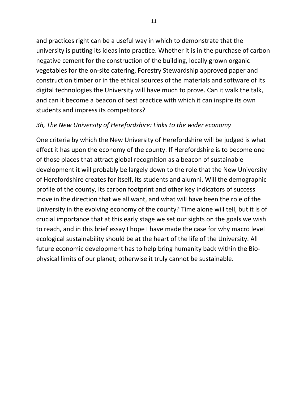and practices right can be a useful way in which to demonstrate that the university is putting its ideas into practice. Whether it is in the purchase of carbon negative cement for the construction of the building, locally grown organic vegetables for the on-site catering, Forestry Stewardship approved paper and construction timber or in the ethical sources of the materials and software of its digital technologies the University will have much to prove. Can it walk the talk, and can it become a beacon of best practice with which it can inspire its own students and impress its competitors?

#### *3h, The New University of Herefordshire: Links to the wider economy*

One criteria by which the New University of Herefordshire will be judged is what effect it has upon the economy of the county. If Herefordshire is to become one of those places that attract global recognition as a beacon of sustainable development it will probably be largely down to the role that the New University of Herefordshire creates for itself, its students and alumni. Will the demographic profile of the county, its carbon footprint and other key indicators of success move in the direction that we all want, and what will have been the role of the University in the evolving economy of the county? Time alone will tell, but it is of crucial importance that at this early stage we set our sights on the goals we wish to reach, and in this brief essay I hope I have made the case for why macro level ecological sustainability should be at the heart of the life of the University. All future economic development has to help bring humanity back within the Biophysical limits of our planet; otherwise it truly cannot be sustainable.